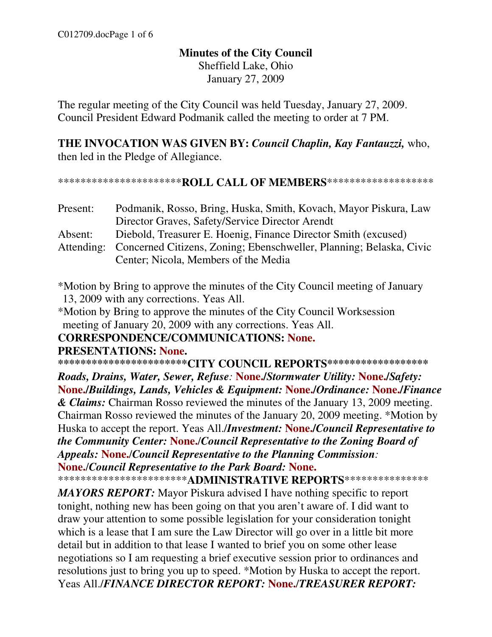### **Minutes of the City Council**  Sheffield Lake, Ohio January 27, 2009

The regular meeting of the City Council was held Tuesday, January 27, 2009. Council President Edward Podmanik called the meeting to order at 7 PM.

**THE INVOCATION WAS GIVEN BY:** *Council Chaplin, Kay Fantauzzi,* who, then led in the Pledge of Allegiance.

#### \*\*\*\*\*\*\*\*\*\*\*\*\*\*\*\*\*\*\*\*\*\***ROLL CALL OF MEMBERS**\*\*\*\*\*\*\*\*\*\*\*\*\*\*\*\*\*\*\*

| Present: | Podmanik, Rosso, Bring, Huska, Smith, Kovach, Mayor Piskura, Law               |
|----------|--------------------------------------------------------------------------------|
|          | Director Graves, Safety/Service Director Arendt                                |
| Absent:  | Diebold, Treasurer E. Hoenig, Finance Director Smith (excused)                 |
|          | Attending: Concerned Citizens, Zoning; Ebenschweller, Planning; Belaska, Civic |
|          | Center; Nicola, Members of the Media                                           |

\*Motion by Bring to approve the minutes of the City Council meeting of January 13, 2009 with any corrections. Yeas All.

\*Motion by Bring to approve the minutes of the City Council Worksession meeting of January 20, 2009 with any corrections. Yeas All.

**CORRESPONDENCE/COMMUNICATIONS: None.** 

#### **PRESENTATIONS: None.**

**\*\*\*\*\*\*\*\*\*\*\*\*\*\*\*\*\*\*\*\*\*\*\*CITY COUNCIL REPORTS\*\*\*\*\*\*\*\*\*\*\*\*\*\*\*\*\*\***

*Roads, Drains, Water, Sewer, Refuse:* **None./***Stormwater Utility:* **None./***Safety:* **None./***Buildings, Lands, Vehicles & Equipment:* **None./***Ordinance:* **None./***Finance & Claims:* Chairman Rosso reviewed the minutes of the January 13, 2009 meeting. Chairman Rosso reviewed the minutes of the January 20, 2009 meeting. \*Motion by Huska to accept the report. Yeas All./*Investment:* **None./***Council Representative to the Community Center:* **None.**/*Council Representative to the Zoning Board of Appeals:* **None.**/*Council Representative to the Planning Commission:*  **None.**/*Council Representative to the Park Board:* **None.**

\*\*\*\*\*\*\*\*\*\*\*\*\*\*\*\*\*\*\*\*\*\*\***ADMINISTRATIVE REPORTS**\*\*\*\*\*\*\*\*\*\*\*\*\*\*\*

*MAYORS REPORT:* Mayor Piskura advised I have nothing specific to report tonight, nothing new has been going on that you aren't aware of. I did want to draw your attention to some possible legislation for your consideration tonight which is a lease that I am sure the Law Director will go over in a little bit more detail but in addition to that lease I wanted to brief you on some other lease negotiations so I am requesting a brief executive session prior to ordinances and resolutions just to bring you up to speed. \*Motion by Huska to accept the report. Yeas All./*FINANCE DIRECTOR REPORT:* **None.**/*TREASURER REPORT:*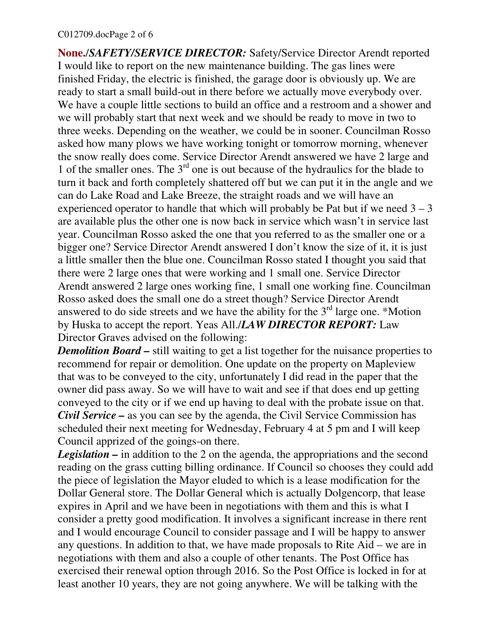#### C012709.docPage 2 of 6

**None.**/*SAFETY/SERVICE DIRECTOR:* Safety/Service Director Arendt reported I would like to report on the new maintenance building. The gas lines were finished Friday, the electric is finished, the garage door is obviously up. We are ready to start a small build-out in there before we actually move everybody over. We have a couple little sections to build an office and a restroom and a shower and we will probably start that next week and we should be ready to move in two to three weeks. Depending on the weather, we could be in sooner. Councilman Rosso asked how many plows we have working tonight or tomorrow morning, whenever the snow really does come. Service Director Arendt answered we have 2 large and 1 of the smaller ones. The  $3<sup>rd</sup>$  one is out because of the hydraulics for the blade to turn it back and forth completely shattered off but we can put it in the angle and we can do Lake Road and Lake Breeze, the straight roads and we will have an experienced operator to handle that which will probably be Pat but if we need  $3 - 3$ are available plus the other one is now back in service which wasn't in service last year. Councilman Rosso asked the one that you referred to as the smaller one or a bigger one? Service Director Arendt answered I don't know the size of it, it is just a little smaller then the blue one. Councilman Rosso stated I thought you said that there were 2 large ones that were working and 1 small one. Service Director Arendt answered 2 large ones working fine, 1 small one working fine. Councilman Rosso asked does the small one do a street though? Service Director Arendt answered to do side streets and we have the ability for the  $3<sup>rd</sup>$  large one. \*Motion by Huska to accept the report. Yeas All./*LAW DIRECTOR REPORT:* Law Director Graves advised on the following:

*Demolition Board* – still waiting to get a list together for the nuisance properties to recommend for repair or demolition. One update on the property on Mapleview that was to be conveyed to the city, unfortunately I did read in the paper that the owner did pass away. So we will have to wait and see if that does end up getting conveyed to the city or if we end up having to deal with the probate issue on that. *Civil Service* – as you can see by the agenda, the Civil Service Commission has scheduled their next meeting for Wednesday, February 4 at 5 pm and I will keep Council apprized of the goings-on there.

*Legislation* – in addition to the 2 on the agenda, the appropriations and the second reading on the grass cutting billing ordinance. If Council so chooses they could add the piece of legislation the Mayor eluded to which is a lease modification for the Dollar General store. The Dollar General which is actually Dolgencorp, that lease expires in April and we have been in negotiations with them and this is what I consider a pretty good modification. It involves a significant increase in there rent and I would encourage Council to consider passage and I will be happy to answer any questions. In addition to that, we have made proposals to Rite Aid – we are in negotiations with them and also a couple of other tenants. The Post Office has exercised their renewal option through 2016. So the Post Office is locked in for at least another 10 years, they are not going anywhere. We will be talking with the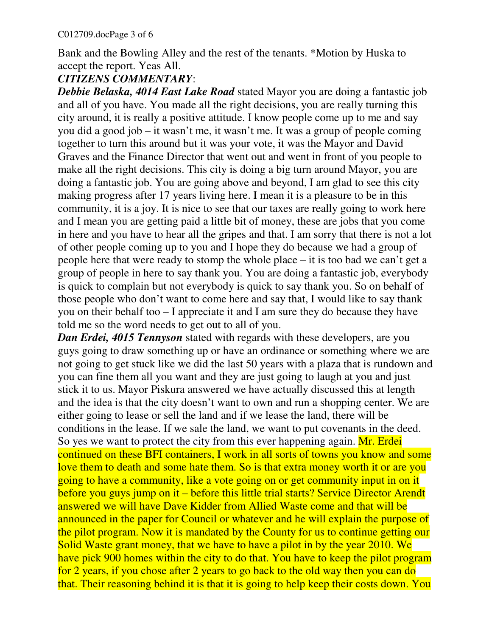Bank and the Bowling Alley and the rest of the tenants. \*Motion by Huska to accept the report. Yeas All.

### *CITIZENS COMMENTARY*:

*Debbie Belaska, 4014 East Lake Road* stated Mayor you are doing a fantastic job and all of you have. You made all the right decisions, you are really turning this city around, it is really a positive attitude. I know people come up to me and say you did a good job – it wasn't me, it wasn't me. It was a group of people coming together to turn this around but it was your vote, it was the Mayor and David Graves and the Finance Director that went out and went in front of you people to make all the right decisions. This city is doing a big turn around Mayor, you are doing a fantastic job. You are going above and beyond, I am glad to see this city making progress after 17 years living here. I mean it is a pleasure to be in this community, it is a joy. It is nice to see that our taxes are really going to work here and I mean you are getting paid a little bit of money, these are jobs that you come in here and you have to hear all the gripes and that. I am sorry that there is not a lot of other people coming up to you and I hope they do because we had a group of people here that were ready to stomp the whole place – it is too bad we can't get a group of people in here to say thank you. You are doing a fantastic job, everybody is quick to complain but not everybody is quick to say thank you. So on behalf of those people who don't want to come here and say that, I would like to say thank you on their behalf too – I appreciate it and I am sure they do because they have told me so the word needs to get out to all of you.

*Dan Erdei, 4015 Tennyson* stated with regards with these developers, are you guys going to draw something up or have an ordinance or something where we are not going to get stuck like we did the last 50 years with a plaza that is rundown and you can fine them all you want and they are just going to laugh at you and just stick it to us. Mayor Piskura answered we have actually discussed this at length and the idea is that the city doesn't want to own and run a shopping center. We are either going to lease or sell the land and if we lease the land, there will be conditions in the lease. If we sale the land, we want to put covenants in the deed. So yes we want to protect the city from this ever happening again. Mr. Erdei continued on these BFI containers, I work in all sorts of towns you know and some love them to death and some hate them. So is that extra money worth it or are you going to have a community, like a vote going on or get community input in on it before you guys jump on it – before this little trial starts? Service Director Arendt answered we will have Dave Kidder from Allied Waste come and that will be announced in the paper for Council or whatever and he will explain the purpose of the pilot program. Now it is mandated by the County for us to continue getting our Solid Waste grant money, that we have to have a pilot in by the year 2010. We have pick 900 homes within the city to do that. You have to keep the pilot program for 2 years, if you chose after 2 years to go back to the old way then you can do that. Their reasoning behind it is that it is going to help keep their costs down. You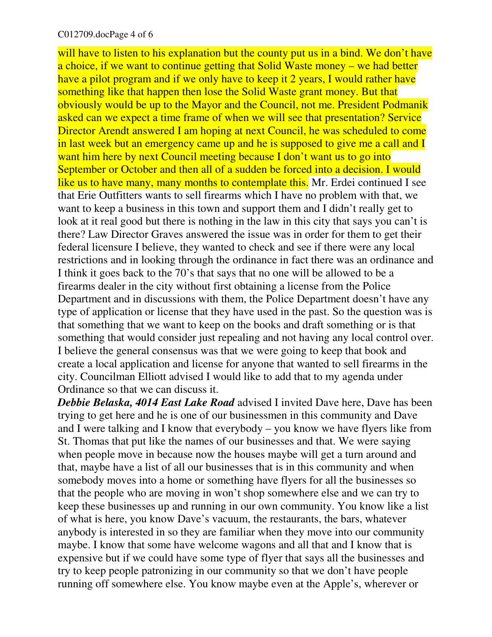#### C012709.docPage 4 of 6

will have to listen to his explanation but the county put us in a bind. We don't have a choice, if we want to continue getting that Solid Waste money – we had better have a pilot program and if we only have to keep it 2 years, I would rather have something like that happen then lose the Solid Waste grant money. But that obviously would be up to the Mayor and the Council, not me. President Podmanik asked can we expect a time frame of when we will see that presentation? Service Director Arendt answered I am hoping at next Council, he was scheduled to come in last week but an emergency came up and he is supposed to give me a call and I want him here by next Council meeting because I don't want us to go into September or October and then all of a sudden be forced into a decision. I would like us to have many, many months to contemplate this. Mr. Erdei continued I see that Erie Outfitters wants to sell firearms which I have no problem with that, we want to keep a business in this town and support them and I didn't really get to look at it real good but there is nothing in the law in this city that says you can't is there? Law Director Graves answered the issue was in order for them to get their federal licensure I believe, they wanted to check and see if there were any local restrictions and in looking through the ordinance in fact there was an ordinance and I think it goes back to the 70's that says that no one will be allowed to be a firearms dealer in the city without first obtaining a license from the Police Department and in discussions with them, the Police Department doesn't have any type of application or license that they have used in the past. So the question was is that something that we want to keep on the books and draft something or is that something that would consider just repealing and not having any local control over. I believe the general consensus was that we were going to keep that book and create a local application and license for anyone that wanted to sell firearms in the city. Councilman Elliott advised I would like to add that to my agenda under Ordinance so that we can discuss it.

*Debbie Belaska, 4014 East Lake Road* advised I invited Dave here, Dave has been trying to get here and he is one of our businessmen in this community and Dave and I were talking and I know that everybody – you know we have flyers like from St. Thomas that put like the names of our businesses and that. We were saying when people move in because now the houses maybe will get a turn around and that, maybe have a list of all our businesses that is in this community and when somebody moves into a home or something have flyers for all the businesses so that the people who are moving in won't shop somewhere else and we can try to keep these businesses up and running in our own community. You know like a list of what is here, you know Dave's vacuum, the restaurants, the bars, whatever anybody is interested in so they are familiar when they move into our community maybe. I know that some have welcome wagons and all that and I know that is expensive but if we could have some type of flyer that says all the businesses and try to keep people patronizing in our community so that we don't have people running off somewhere else. You know maybe even at the Apple's, wherever or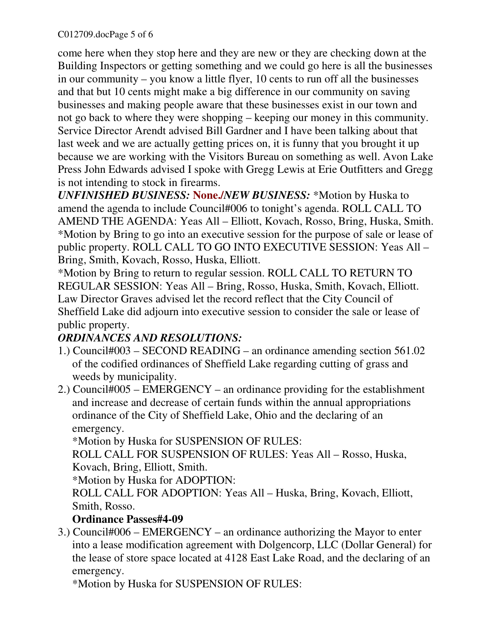come here when they stop here and they are new or they are checking down at the Building Inspectors or getting something and we could go here is all the businesses in our community – you know a little flyer, 10 cents to run off all the businesses and that but 10 cents might make a big difference in our community on saving businesses and making people aware that these businesses exist in our town and not go back to where they were shopping – keeping our money in this community. Service Director Arendt advised Bill Gardner and I have been talking about that last week and we are actually getting prices on, it is funny that you brought it up because we are working with the Visitors Bureau on something as well. Avon Lake Press John Edwards advised I spoke with Gregg Lewis at Erie Outfitters and Gregg is not intending to stock in firearms.

*UNFINISHED BUSINESS:* **None./***NEW BUSINESS:* \*Motion by Huska to amend the agenda to include Council#006 to tonight's agenda. ROLL CALL TO AMEND THE AGENDA: Yeas All – Elliott, Kovach, Rosso, Bring, Huska, Smith. \*Motion by Bring to go into an executive session for the purpose of sale or lease of public property. ROLL CALL TO GO INTO EXECUTIVE SESSION: Yeas All – Bring, Smith, Kovach, Rosso, Huska, Elliott.

\*Motion by Bring to return to regular session. ROLL CALL TO RETURN TO REGULAR SESSION: Yeas All – Bring, Rosso, Huska, Smith, Kovach, Elliott. Law Director Graves advised let the record reflect that the City Council of Sheffield Lake did adjourn into executive session to consider the sale or lease of public property.

# *ORDINANCES AND RESOLUTIONS:*

- 1.) Council#003 SECOND READING an ordinance amending section 561.02 of the codified ordinances of Sheffield Lake regarding cutting of grass and weeds by municipality.
- 2.) Council#005 EMERGENCY an ordinance providing for the establishment and increase and decrease of certain funds within the annual appropriations ordinance of the City of Sheffield Lake, Ohio and the declaring of an emergency.

\*Motion by Huska for SUSPENSION OF RULES:

 ROLL CALL FOR SUSPENSION OF RULES: Yeas All – Rosso, Huska, Kovach, Bring, Elliott, Smith.

\*Motion by Huska for ADOPTION:

 ROLL CALL FOR ADOPTION: Yeas All – Huska, Bring, Kovach, Elliott, Smith, Rosso.

## **Ordinance Passes#4-09**

3.) Council#006 – EMERGENCY – an ordinance authorizing the Mayor to enter into a lease modification agreement with Dolgencorp, LLC (Dollar General) for the lease of store space located at 4128 East Lake Road, and the declaring of an emergency.

\*Motion by Huska for SUSPENSION OF RULES: